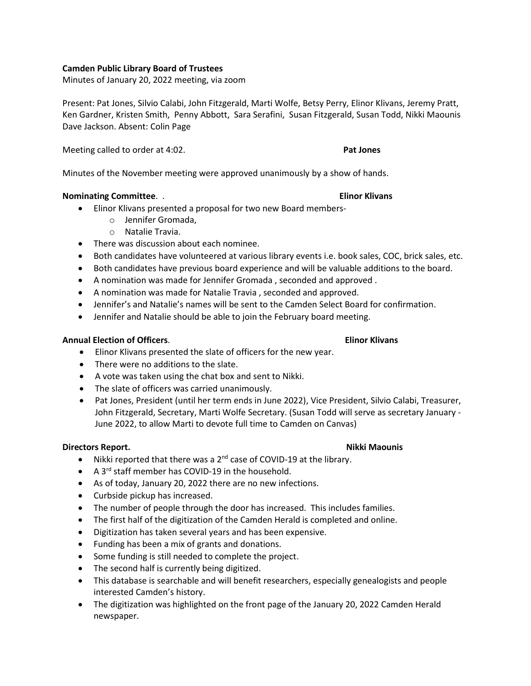# **Camden Public Library Board of Trustees**

Minutes of January 20, 2022 meeting, via zoom

Present: Pat Jones, Silvio Calabi, John Fitzgerald, Marti Wolfe, Betsy Perry, Elinor Klivans, Jeremy Pratt, Ken Gardner, Kristen Smith, Penny Abbott, Sara Serafini, Susan Fitzgerald, Susan Todd, Nikki Maounis Dave Jackson. Absent: Colin Page

Meeting called to order at 4:02. **Pat Jones**

Minutes of the November meeting were approved unanimously by a show of hands.

### **Nominating Committee**. . **Elinor Klivans**

- Elinor Klivans presented a proposal for two new Board members
	- o Jennifer Gromada,
	- o Natalie Travia.
- There was discussion about each nominee.
- Both candidates have volunteered at various library events i.e. book sales, COC, brick sales, etc.
- Both candidates have previous board experience and will be valuable additions to the board.
- A nomination was made for Jennifer Gromada , seconded and approved .
- A nomination was made for Natalie Travia , seconded and approved.
- Jennifer's and Natalie's names will be sent to the Camden Select Board for confirmation.
- Jennifer and Natalie should be able to join the February board meeting.

### **Annual Election of Officers**. **Elinor Klivans**

- Elinor Klivans presented the slate of officers for the new year.
- There were no additions to the slate.
- A vote was taken using the chat box and sent to Nikki.
- The slate of officers was carried unanimously.
- Pat Jones, President (until her term ends in June 2022), Vice President, Silvio Calabi, Treasurer, John Fitzgerald, Secretary, Marti Wolfe Secretary. (Susan Todd will serve as secretary January - June 2022, to allow Marti to devote full time to Camden on Canvas)

# **Directors Report.** Nikki Maounis

- Nikki reported that there was a  $2^{nd}$  case of COVID-19 at the library.
- A 3<sup>rd</sup> staff member has COVID-19 in the household.
- As of today, January 20, 2022 there are no new infections.
- Curbside pickup has increased.
- The number of people through the door has increased. This includes families.
- The first half of the digitization of the Camden Herald is completed and online.
- Digitization has taken several years and has been expensive.
- Funding has been a mix of grants and donations.
- Some funding is still needed to complete the project.
- The second half is currently being digitized.
- This database is searchable and will benefit researchers, especially genealogists and people interested Camden's history.
- The digitization was highlighted on the front page of the January 20, 2022 Camden Herald newspaper.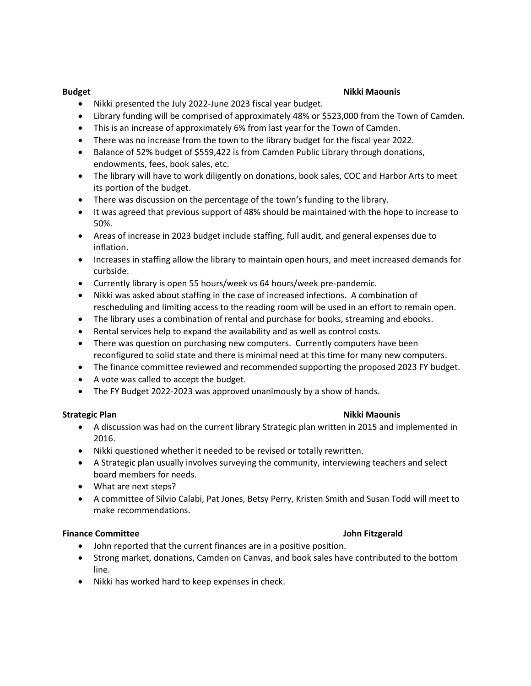### **Budget Nikki Maounis**

- Nikki presented the July 2022-June 2023 fiscal year budget.
- Library funding will be comprised of approximately 48% or \$523,000 from the Town of Camden.
- This is an increase of approximately 6% from last year for the Town of Camden.
- There was no increase from the town to the library budget for the fiscal year 2022.
- Balance of 52% budget of \$559,422 is from Camden Public Library through donations, endowments, fees, book sales, etc.
- The library will have to work diligently on donations, book sales, COC and Harbor Arts to meet its portion of the budget.
- There was discussion on the percentage of the town's funding to the library.
- It was agreed that previous support of 48% should be maintained with the hope to increase to 50%.
- Areas of increase in 2023 budget include staffing, full audit, and general expenses due to inflation.
- Increases in staffing allow the library to maintain open hours, and meet increased demands for curbside.
- Currently library is open 55 hours/week vs 64 hours/week pre-pandemic.
- Nikki was asked about staffing in the case of increased infections. A combination of rescheduling and limiting access to the reading room will be used in an effort to remain open.
- The library uses a combination of rental and purchase for books, streaming and ebooks.
- Rental services help to expand the availability and as well as control costs.
- There was question on purchasing new computers. Currently computers have been reconfigured to solid state and there is minimal need at this time for many new computers.
- The finance committee reviewed and recommended supporting the proposed 2023 FY budget.
- A vote was called to accept the budget.
- The FY Budget 2022-2023 was approved unanimously by a show of hands.

# **Strategic Plan Nikki Maounis**

- A discussion was had on the current library Strategic plan written in 2015 and implemented in 2016.
- Nikki questioned whether it needed to be revised or totally rewritten.
- A Strategic plan usually involves surveying the community, interviewing teachers and select board members for needs.
- What are next steps?
- A committee of Silvio Calabi, Pat Jones, Betsy Perry, Kristen Smith and Susan Todd will meet to make recommendations.

# **Finance Committee John Fitzgerald**

- John reported that the current finances are in a positive position.
- Strong market, donations, Camden on Canvas, and book sales have contributed to the bottom line.
- Nikki has worked hard to keep expenses in check.